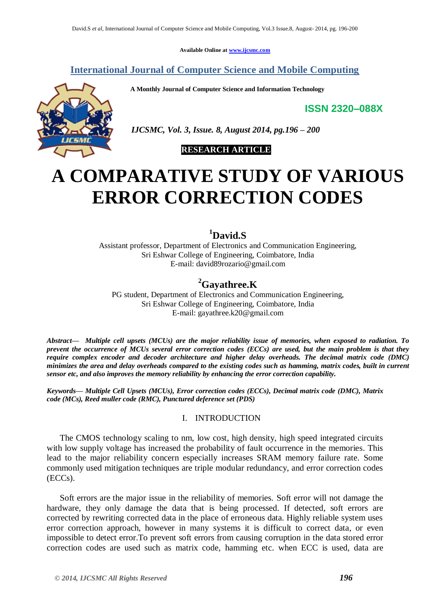**Available Online at [www.ijcsmc.com](http://www.ijcsmc.com/)**

# **International Journal of Computer Science and Mobile Computing**

 **A Monthly Journal of Computer Science and Information Technology**

**ISSN 2320–088X**



 *IJCSMC, Vol. 3, Issue. 8, August 2014, pg.196 – 200*

## **RESEARCH ARTICLE**

# **A COMPARATIVE STUDY OF VARIOUS ERROR CORRECTION CODES**

# **<sup>1</sup>David.S**

Assistant professor, Department of Electronics and Communication Engineering, Sri Eshwar College of Engineering, Coimbatore, India E-mail: david89rozario@gmail.com

# **<sup>2</sup>Gayathree.K**

PG student, Department of Electronics and Communication Engineering, Sri Eshwar College of Engineering, Coimbatore, India E-mail: gayathree.k20@gmail.com

*Abstract— Multiple cell upsets (MCUs) are the major reliability issue of memories, when exposed to radiation. To prevent the occurrence of MCUs several error correction codes (ECCs) are used, but the main problem is that they require complex encoder and decoder architecture and higher delay overheads. The decimal matrix code (DMC) minimizes the area and delay overheads compared to the existing codes such as hamming, matrix codes, built in current sensor etc, and also improves the memory reliability by enhancing the error correction capability.*

*Keywords— Multiple Cell Upsets (MCUs), Error correction codes (ECCs), Decimal matrix code (DMC), Matrix code (MCs), Reed muller code (RMC), Punctured deference set (PDS)*

### I. INTRODUCTION

The CMOS technology scaling to nm, low cost, high density, high speed integrated circuits with low supply voltage has increased the probability of fault occurrence in the memories. This lead to the major reliability concern especially increases SRAM memory failure rate. Some commonly used mitigation techniques are triple modular redundancy, and error correction codes (ECCs).

Soft errors are the major issue in the reliability of memories. Soft error will not damage the hardware, they only damage the data that is being processed. If detected, soft errors are corrected by rewriting corrected data in the place of erroneous data. Highly reliable system uses error correction approach, however in many systems it is difficult to correct data, or even impossible to detect error.To prevent soft errors from causing corruption in the data stored error correction codes are used such as matrix code, hamming etc. when ECC is used, data are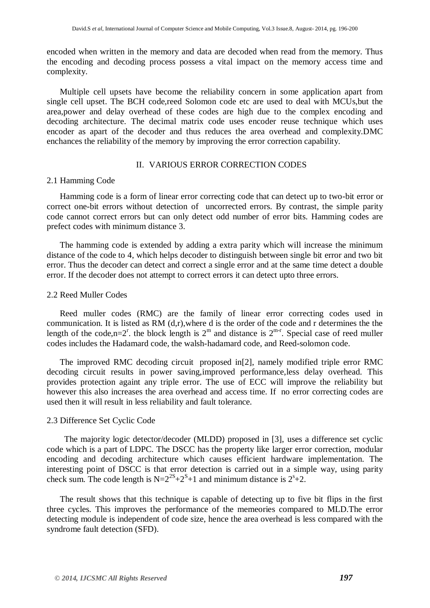encoded when written in the memory and data are decoded when read from the memory. Thus the encoding and decoding process possess a vital impact on the memory access time and complexity.

Multiple cell upsets have become the reliability concern in some application apart from single cell upset. The BCH code,reed Solomon code etc are used to deal with MCUs,but the area,power and delay overhead of these codes are high due to the complex encoding and decoding architecture. The decimal matrix code uses encoder reuse technique which uses encoder as apart of the decoder and thus reduces the area overhead and complexity.DMC enchances the reliability of the memory by improving the error correction capability.

#### II. VARIOUS ERROR CORRECTION CODES

#### 2.1 Hamming Code

Hamming code is a form of linear error correcting code that can detect up to two-bit error or correct one-bit errors without detection of uncorrected errors. By contrast, the simple parity code cannot correct errors but can only detect odd number of error bits. Hamming codes are prefect codes with minimum distance 3.

The hamming code is extended by adding a extra parity which will increase the minimum distance of the code to 4, which helps decoder to distinguish between single bit error and two bit error. Thus the decoder can detect and correct a single error and at the same time detect a double error. If the decoder does not attempt to correct errors it can detect upto three errors.

#### 2.2 Reed Muller Codes

Reed muller codes (RMC) are the family of linear error correcting codes used in communication. It is listed as RM (d,r),where d is the order of the code and r determines the the length of the code,n= $2^r$ , the block length is  $2^m$  and distance is  $2^{m-r}$ . Special case of reed muller codes includes the Hadamard code, the walsh-hadamard code, and Reed-solomon code.

The improved RMC decoding circuit proposed in[2], namely modified triple error RMC decoding circuit results in power saving,improved performance,less delay overhead. This provides protection againt any triple error. The use of ECC will improve the reliability but however this also increases the area overhead and access time. If no error correcting codes are used then it will result in less reliability and fault tolerance.

#### 2.3 Difference Set Cyclic Code

 The majority logic detector/decoder (MLDD) proposed in [3], uses a difference set cyclic code which is a part of LDPC. The DSCC has the property like larger error correction, modular encoding and decoding architecture which causes efficient hardware implementation. The interesting point of DSCC is that error detection is carried out in a simple way, using parity check sum. The code length is  $N=2^{2S}+2^{S}+1$  and minimum distance is  $2^{s}+2$ .

 The result shows that this technique is capable of detecting up to five bit flips in the first three cycles. This improves the performance of the memeories compared to MLD.The error detecting module is independent of code size, hence the area overhead is less compared with the syndrome fault detection (SFD).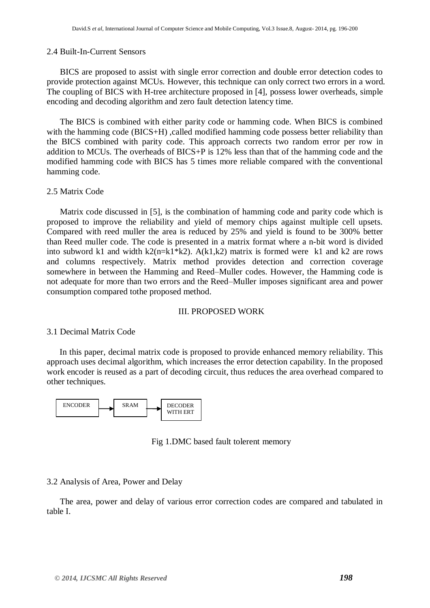#### 2.4 Built-In-Current Sensors

 BICS are proposed to assist with single error correction and double error detection codes to provide protection against MCUs. However, this technique can only correct two errors in a word. The coupling of BICS with H-tree architecture proposed in [4], possess lower overheads, simple encoding and decoding algorithm and zero fault detection latency time.

 The BICS is combined with either parity code or hamming code. When BICS is combined with the hamming code (BICS+H), called modified hamming code possess better reliability than the BICS combined with parity code. This approach corrects two random error per row in addition to MCUs. The overheads of BICS+P is 12% less than that of the hamming code and the modified hamming code with BICS has 5 times more reliable compared with the conventional hamming code.

#### 2.5 Matrix Code

 Matrix code discussed in [5], is the combination of hamming code and parity code which is proposed to improve the reliability and yield of memory chips against multiple cell upsets. Compared with reed muller the area is reduced by 25% and yield is found to be 300% better than Reed muller code. The code is presented in a matrix format where a n-bit word is divided into subword k1 and width k2(n=k1\*k2). A(k1,k2) matrix is formed were k1 and k2 are rows and columns respectively. Matrix method provides detection and correction coverage somewhere in between the Hamming and Reed–Muller codes. However, the Hamming code is not adequate for more than two errors and the Reed–Muller imposes significant area and power consumption compared tothe proposed method.

#### III. PROPOSED WORK

#### 3.1 Decimal Matrix Code

In this paper, decimal matrix code is proposed to provide enhanced memory reliability. This approach uses decimal algorithm, which increases the error detection capability. In the proposed work encoder is reused as a part of decoding circuit, thus reduces the area overhead compared to other techniques.



Fig 1.DMC based fault tolerent memory

#### 3.2 Analysis of Area, Power and Delay

 The area, power and delay of various error correction codes are compared and tabulated in table I.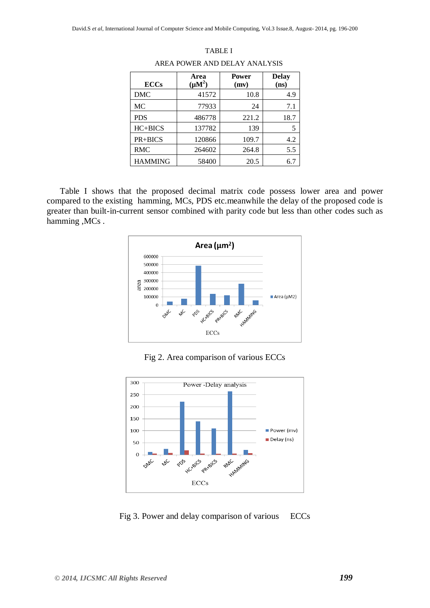| <b>ECCs</b>    | Area<br>$(\mu M^2)$ | <b>Power</b><br>(mv) | <b>Delay</b><br>(ns) |
|----------------|---------------------|----------------------|----------------------|
| <b>DMC</b>     | 41572               | 10.8                 | 4.9                  |
| МC             | 77933               | 24                   | 7.1                  |
| <b>PDS</b>     | 486778              | 221.2                | 18.7                 |
| $HC + BICS$    | 137782              | 139                  | 5                    |
| PR+BICS        | 120866              | 109.7                | 4.2                  |
| <b>RMC</b>     | 264602              | 264.8                | 5.5                  |
| <b>HAMMING</b> | 58400               | 20.5                 | 6.7                  |

| TABLE I                       |
|-------------------------------|
| AREA POWER AND DELAY ANALYSIS |

 Table I shows that the proposed decimal matrix code possess lower area and power compared to the existing hamming, MCs, PDS etc.meanwhile the delay of the proposed code is greater than built-in-current sensor combined with parity code but less than other codes such as hamming ,MCs .



Fig 2. Area comparison of various ECCs



Fig 3. Power and delay comparison of various ECCs